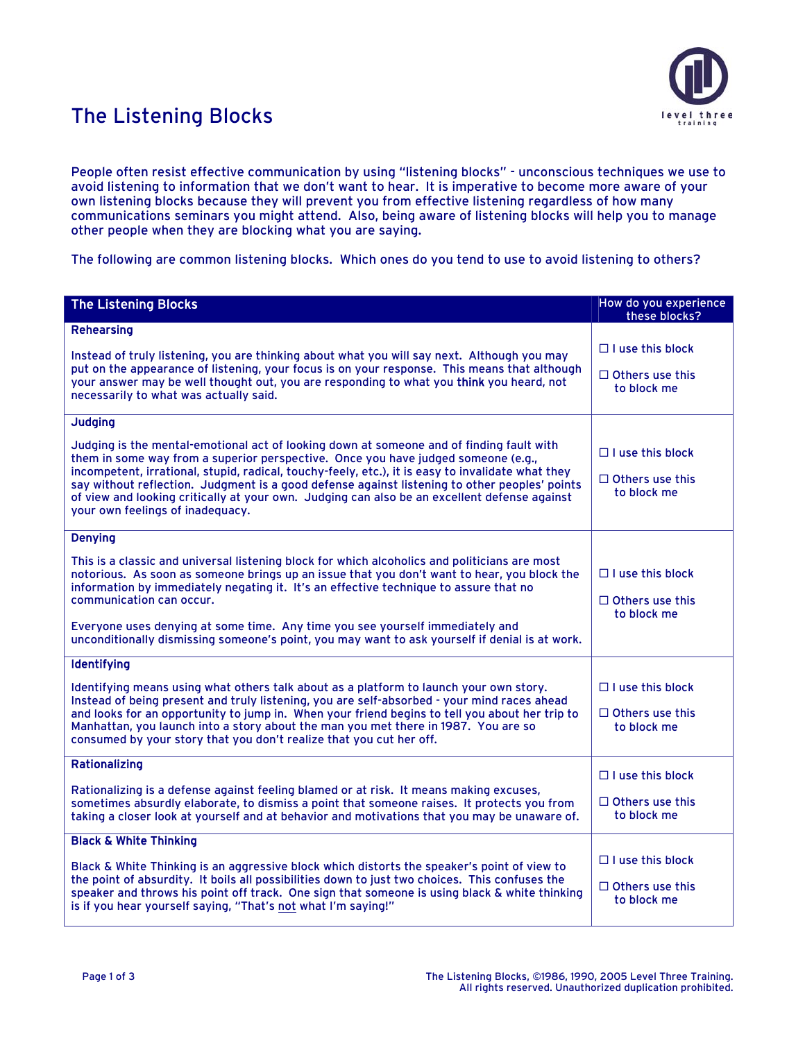

## The Listening Blocks

People often resist effective communication by using "listening blocks" - unconscious techniques we use to avoid listening to information that we don't want to hear. It is imperative to become more aware of your own listening blocks because they will prevent you from effective listening regardless of how many communications seminars you might attend. Also, being aware of listening blocks will help you to manage other people when they are blocking what you are saying.

The following are common listening blocks. Which ones do you tend to use to avoid listening to others?

| <b>The Listening Blocks</b>                                                                                                                                                                                                                                                                                                                                                                                                                                                                                             | How do you experience<br>these blocks? |
|-------------------------------------------------------------------------------------------------------------------------------------------------------------------------------------------------------------------------------------------------------------------------------------------------------------------------------------------------------------------------------------------------------------------------------------------------------------------------------------------------------------------------|----------------------------------------|
| <b>Rehearsing</b>                                                                                                                                                                                                                                                                                                                                                                                                                                                                                                       |                                        |
| Instead of truly listening, you are thinking about what you will say next. Although you may<br>put on the appearance of listening, your focus is on your response. This means that although<br>your answer may be well thought out, you are responding to what you think you heard, not<br>necessarily to what was actually said.                                                                                                                                                                                       | $\Box$ I use this block                |
|                                                                                                                                                                                                                                                                                                                                                                                                                                                                                                                         | $\Box$ Others use this<br>to block me  |
| <b>Judging</b>                                                                                                                                                                                                                                                                                                                                                                                                                                                                                                          |                                        |
| Judging is the mental-emotional act of looking down at someone and of finding fault with<br>them in some way from a superior perspective. Once you have judged someone (e.g.,<br>incompetent, irrational, stupid, radical, touchy-feely, etc.), it is easy to invalidate what they<br>say without reflection. Judgment is a good defense against listening to other peoples' points<br>of view and looking critically at your own. Judging can also be an excellent defense against<br>your own feelings of inadequacy. | $\Box$ I use this block                |
|                                                                                                                                                                                                                                                                                                                                                                                                                                                                                                                         | $\Box$ Others use this<br>to block me  |
| <b>Denying</b>                                                                                                                                                                                                                                                                                                                                                                                                                                                                                                          |                                        |
| This is a classic and universal listening block for which alcoholics and politicians are most<br>notorious. As soon as someone brings up an issue that you don't want to hear, you block the<br>information by immediately negating it. It's an effective technique to assure that no<br>communication can occur.                                                                                                                                                                                                       | $\Box$ I use this block                |
|                                                                                                                                                                                                                                                                                                                                                                                                                                                                                                                         | $\Box$ Others use this<br>to block me  |
| Everyone uses denying at some time. Any time you see yourself immediately and<br>unconditionally dismissing someone's point, you may want to ask yourself if denial is at work.                                                                                                                                                                                                                                                                                                                                         |                                        |
| <b>Identifying</b>                                                                                                                                                                                                                                                                                                                                                                                                                                                                                                      |                                        |
| Identifying means using what others talk about as a platform to launch your own story.<br>Instead of being present and truly listening, you are self-absorbed - your mind races ahead<br>and looks for an opportunity to jump in. When your friend begins to tell you about her trip to<br>Manhattan, you launch into a story about the man you met there in 1987. You are so<br>consumed by your story that you don't realize that you cut her off.                                                                    | $\Box$ I use this block                |
|                                                                                                                                                                                                                                                                                                                                                                                                                                                                                                                         | $\Box$ Others use this<br>to block me  |
| <b>Rationalizing</b>                                                                                                                                                                                                                                                                                                                                                                                                                                                                                                    | $\Box$ I use this block                |
| Rationalizing is a defense against feeling blamed or at risk. It means making excuses,<br>sometimes absurdly elaborate, to dismiss a point that someone raises. It protects you from<br>taking a closer look at yourself and at behavior and motivations that you may be unaware of.                                                                                                                                                                                                                                    | $\Box$ Others use this<br>to block me  |
| <b>Black &amp; White Thinking</b>                                                                                                                                                                                                                                                                                                                                                                                                                                                                                       |                                        |
| Black & White Thinking is an aggressive block which distorts the speaker's point of view to<br>the point of absurdity. It boils all possibilities down to just two choices. This confuses the<br>speaker and throws his point off track. One sign that someone is using black & white thinking<br>is if you hear yourself saying, "That's not what I'm saying!"                                                                                                                                                         | $\Box$ I use this block                |
|                                                                                                                                                                                                                                                                                                                                                                                                                                                                                                                         | $\Box$ Others use this<br>to block me  |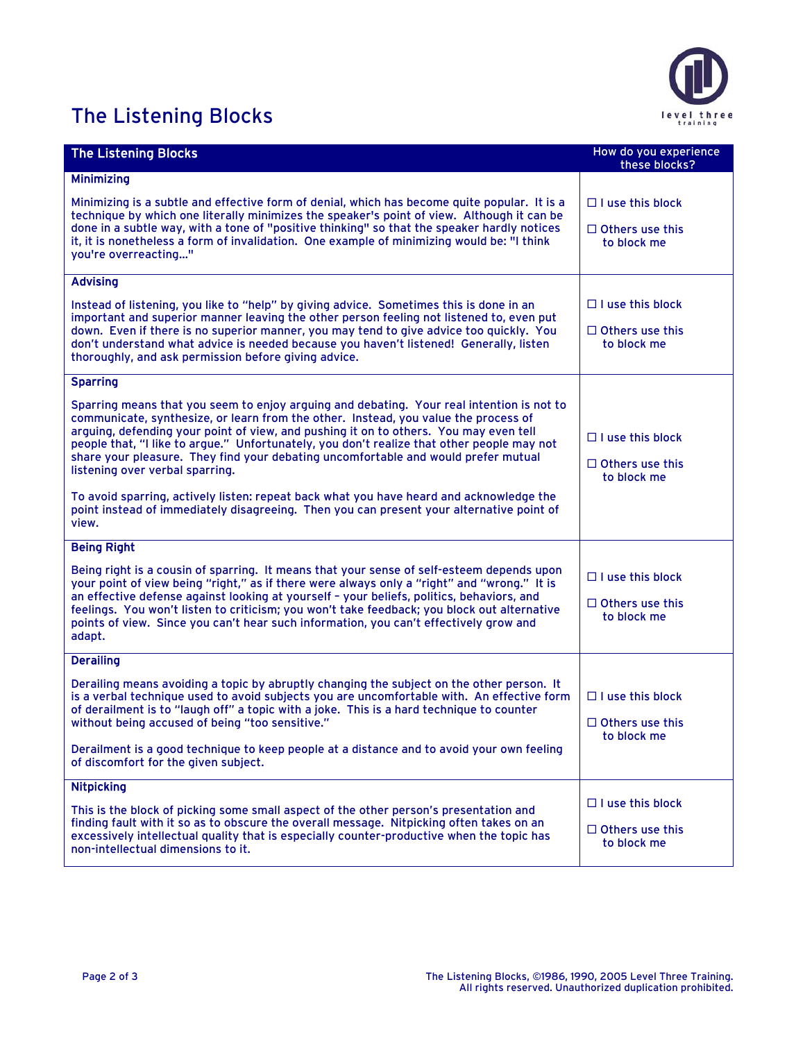## The Listening Blocks



| <b>The Listening Blocks</b>                                                                                                                                                                                                                                                                                                                                                                                                                                                                                                                                                                                                                                                                      | How do you experience<br>these blocks?                           |
|--------------------------------------------------------------------------------------------------------------------------------------------------------------------------------------------------------------------------------------------------------------------------------------------------------------------------------------------------------------------------------------------------------------------------------------------------------------------------------------------------------------------------------------------------------------------------------------------------------------------------------------------------------------------------------------------------|------------------------------------------------------------------|
| <b>Minimizing</b>                                                                                                                                                                                                                                                                                                                                                                                                                                                                                                                                                                                                                                                                                |                                                                  |
| Minimizing is a subtle and effective form of denial, which has become quite popular. It is a<br>technique by which one literally minimizes the speaker's point of view. Although it can be<br>done in a subtle way, with a tone of "positive thinking" so that the speaker hardly notices<br>it, it is nonetheless a form of invalidation. One example of minimizing would be: "I think<br>you're overreacting"                                                                                                                                                                                                                                                                                  | $\Box$ I use this block<br>$\Box$ Others use this<br>to block me |
| <b>Advising</b>                                                                                                                                                                                                                                                                                                                                                                                                                                                                                                                                                                                                                                                                                  |                                                                  |
| Instead of listening, you like to "help" by giving advice. Sometimes this is done in an<br>important and superior manner leaving the other person feeling not listened to, even put<br>down. Even if there is no superior manner, you may tend to give advice too quickly. You<br>don't understand what advice is needed because you haven't listened! Generally, listen<br>thoroughly, and ask permission before giving advice.                                                                                                                                                                                                                                                                 | $\Box$ I use this block<br>$\Box$ Others use this<br>to block me |
| <b>Sparring</b>                                                                                                                                                                                                                                                                                                                                                                                                                                                                                                                                                                                                                                                                                  |                                                                  |
| Sparring means that you seem to enjoy arguing and debating. Your real intention is not to<br>communicate, synthesize, or learn from the other. Instead, you value the process of<br>arguing, defending your point of view, and pushing it on to others. You may even tell<br>people that, "I like to argue." Unfortunately, you don't realize that other people may not<br>share your pleasure. They find your debating uncomfortable and would prefer mutual<br>listening over verbal sparring.<br>To avoid sparring, actively listen: repeat back what you have heard and acknowledge the<br>point instead of immediately disagreeing. Then you can present your alternative point of<br>view. | $\Box$ I use this block<br>$\Box$ Others use this<br>to block me |
| <b>Being Right</b>                                                                                                                                                                                                                                                                                                                                                                                                                                                                                                                                                                                                                                                                               |                                                                  |
| Being right is a cousin of sparring. It means that your sense of self-esteem depends upon<br>your point of view being "right," as if there were always only a "right" and "wrong." It is<br>an effective defense against looking at yourself - your beliefs, politics, behaviors, and<br>feelings. You won't listen to criticism; you won't take feedback; you block out alternative<br>points of view. Since you can't hear such information, you can't effectively grow and<br>adapt.                                                                                                                                                                                                          | $\Box$ I use this block<br>$\Box$ Others use this<br>to block me |
| <b>Derailing</b>                                                                                                                                                                                                                                                                                                                                                                                                                                                                                                                                                                                                                                                                                 |                                                                  |
| Derailing means avoiding a topic by abruptly changing the subject on the other person. It<br>is a verbal technique used to avoid subjects you are uncomfortable with. An effective form<br>of derailment is to "laugh off" a topic with a joke. This is a hard technique to counter<br>without being accused of being "too sensitive."<br>Derailment is a good technique to keep people at a distance and to avoid your own feeling<br>of discomfort for the given subject.                                                                                                                                                                                                                      | $\Box$ I use this block<br>$\Box$ Others use this<br>to block me |
| <b>Nitpicking</b>                                                                                                                                                                                                                                                                                                                                                                                                                                                                                                                                                                                                                                                                                |                                                                  |
| This is the block of picking some small aspect of the other person's presentation and<br>finding fault with it so as to obscure the overall message. Nitpicking often takes on an<br>excessively intellectual quality that is especially counter-productive when the topic has<br>non-intellectual dimensions to it.                                                                                                                                                                                                                                                                                                                                                                             | $\Box$ I use this block<br>$\Box$ Others use this<br>to block me |